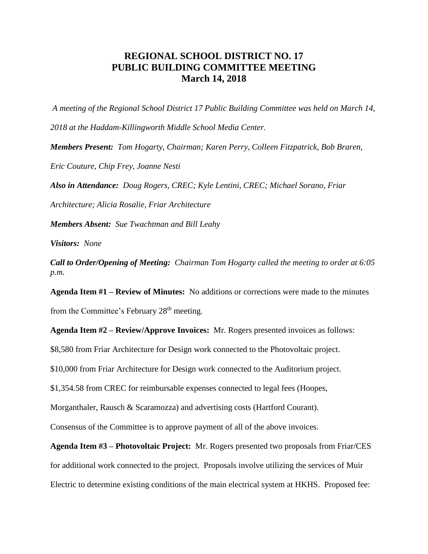## **REGIONAL SCHOOL DISTRICT NO. 17 PUBLIC BUILDING COMMITTEE MEETING March 14, 2018**

*A meeting of the Regional School District 17 Public Building Committee was held on March 14, 2018 at the Haddam-Killingworth Middle School Media Center.*

*Members Present: Tom Hogarty, Chairman; Karen Perry, Colleen Fitzpatrick, Bob Braren,* 

*Eric Couture, Chip Frey, Joanne Nesti*

*Also in Attendance: Doug Rogers, CREC; Kyle Lentini, CREC; Michael Sorano, Friar* 

*Architecture; Alicia Rosalie, Friar Architecture*

*Members Absent: Sue Twachtman and Bill Leahy*

*Visitors: None*

*Call to Order/Opening of Meeting: Chairman Tom Hogarty called the meeting to order at 6:05 p.m.*

**Agenda Item #1 – Review of Minutes:** No additions or corrections were made to the minutes from the Committee's February 28<sup>th</sup> meeting.

**Agenda Item #2 – Review/Approve Invoices:** Mr. Rogers presented invoices as follows:

\$8,580 from Friar Architecture for Design work connected to the Photovoltaic project.

\$10,000 from Friar Architecture for Design work connected to the Auditorium project.

\$1,354.58 from CREC for reimbursable expenses connected to legal fees (Hoopes,

Morganthaler, Rausch & Scaramozza) and advertising costs (Hartford Courant).

Consensus of the Committee is to approve payment of all of the above invoices.

**Agenda Item #3 – Photovoltaic Project:** Mr. Rogers presented two proposals from Friar/CES for additional work connected to the project. Proposals involve utilizing the services of Muir Electric to determine existing conditions of the main electrical system at HKHS. Proposed fee: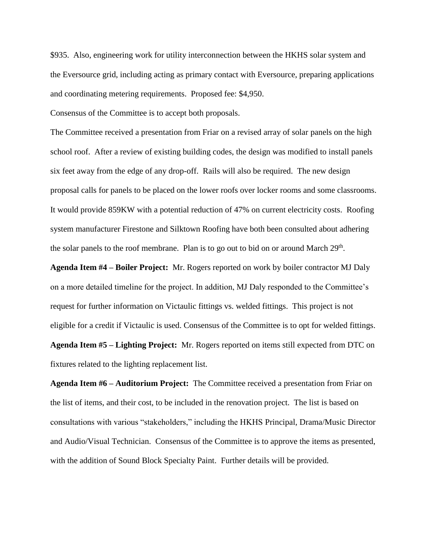\$935. Also, engineering work for utility interconnection between the HKHS solar system and the Eversource grid, including acting as primary contact with Eversource, preparing applications and coordinating metering requirements. Proposed fee: \$4,950.

Consensus of the Committee is to accept both proposals.

The Committee received a presentation from Friar on a revised array of solar panels on the high school roof. After a review of existing building codes, the design was modified to install panels six feet away from the edge of any drop-off. Rails will also be required. The new design proposal calls for panels to be placed on the lower roofs over locker rooms and some classrooms. It would provide 859KW with a potential reduction of 47% on current electricity costs. Roofing system manufacturer Firestone and Silktown Roofing have both been consulted about adhering the solar panels to the roof membrane. Plan is to go out to bid on or around March 29<sup>th</sup>.

**Agenda Item #4 – Boiler Project:** Mr. Rogers reported on work by boiler contractor MJ Daly on a more detailed timeline for the project. In addition, MJ Daly responded to the Committee's request for further information on Victaulic fittings vs. welded fittings. This project is not eligible for a credit if Victaulic is used. Consensus of the Committee is to opt for welded fittings. **Agenda Item #5 – Lighting Project:** Mr. Rogers reported on items still expected from DTC on fixtures related to the lighting replacement list.

**Agenda Item #6 – Auditorium Project:** The Committee received a presentation from Friar on the list of items, and their cost, to be included in the renovation project. The list is based on consultations with various "stakeholders," including the HKHS Principal, Drama/Music Director and Audio/Visual Technician. Consensus of the Committee is to approve the items as presented, with the addition of Sound Block Specialty Paint. Further details will be provided.